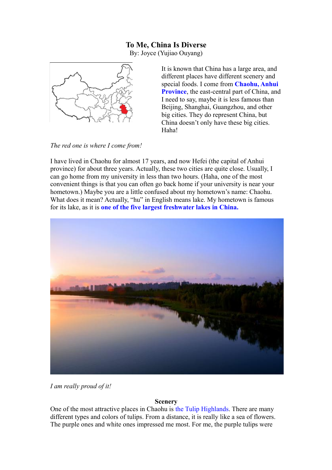## **To Me, China Is Diverse**

By: Joyce (Yujiao Ouyang)



It is known that China has a large area, and different places have different scenery and special foods. I come from **Chaohu, Anhui Province**, the east-central part of China, and I need to say, maybe it is less famous than Beijing, Shanghai, Guangzhou, and other big cities. They do represent China, but China doesn't only have these big cities. Haha!

*The red one is where I come from!*

I have lived in Chaohu for almost 17 years, and now Hefei (the capital of Anhui province) for about three years. Actually, these two cities are quite close. Usually, I can go home from my university in less than two hours. (Haha, one of the most convenient things is that you can often go back home if your university is near your hometown.) Maybe you are a little confused about my hometown's name: Chaohu. What does it mean? Actually, "hu" in English means lake. My hometown is famous for its lake, as it is **one of the five largest freshwater lakes in China.**



*I am really proud of it!*

## **Scenery**

One of the most attractive places in Chaohu is the Tulip Highlands. There are many different types and colors of tulips. From a distance, it is really like a sea of flowers. The purple ones and white ones impressed me most. For me, the purple tulips were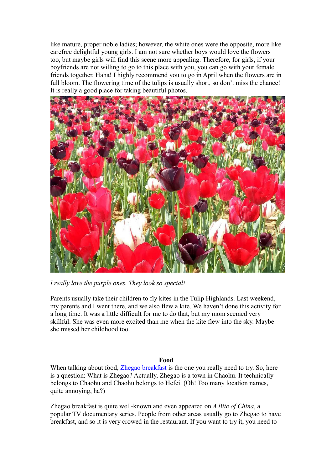like mature, proper noble ladies; however, the white ones were the opposite, more like carefree delightful young girls. I am not sure whether boys would love the flowers too, but maybe girls will find this scene more appealing. Therefore, for girls, if your boyfriends are not willing to go to this place with you, you can go with your female friends together. Haha! I highly recommend you to go in April when the flowers are in full bloom. The flowering time of the tulips is usually short, so don't miss the chance! It is really a good place for taking beautiful photos.



*I really love the purple ones. They look so special!*

Parents usually take their children to fly kites in the Tulip Highlands. Last weekend, my parents and I went there, and we also flew a kite. We haven't done this activity for a long time. It was a little difficult for me to do that, but my mom seemed very skillful. She was even more excited than me when the kite flew into the sky. Maybe she missed her childhood too.

## **Food**

When talking about food, Zhegao breakfast is the one you really need to try. So, here is a question: What is Zhegao? Actually, Zhegao is a town in Chaohu. It technically belongs to Chaohu and Chaohu belongs to Hefei. (Oh! Too many location names, quite annoying, ha?)

Zhegao breakfast is quite well-known and even appeared on *A Bite of China*, a popular TV documentary series. People from other areas usually go to Zhegao to have breakfast, and so it is very crowed in the restaurant. If you want to try it, you need to